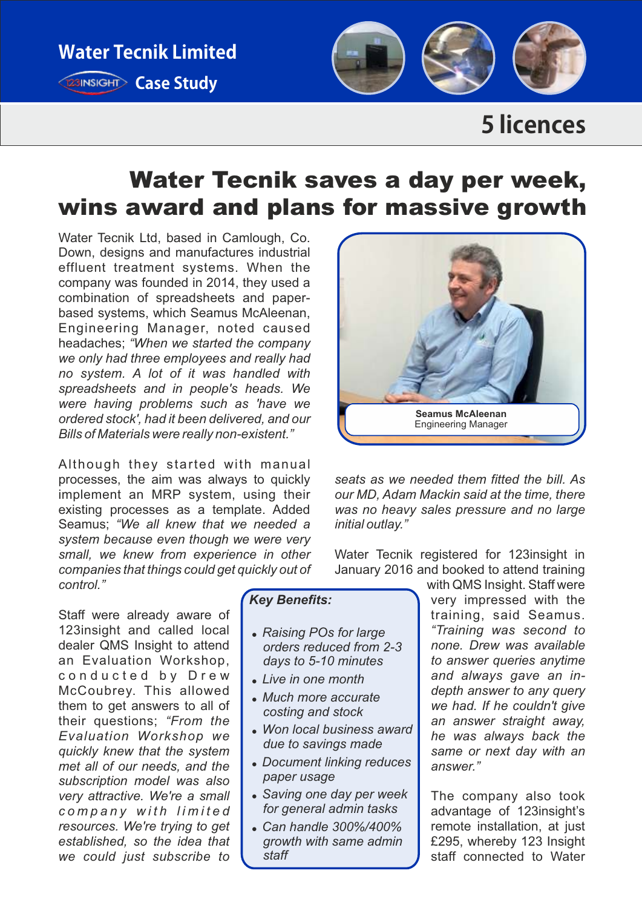

## **5licences**

# Water Tecnik saves a day per week, wins award and plans for massive growth

Water Tecnik Ltd, based in Camlough, Co. Down, designs and manufactures industrial effluent treatment systems. When the company was founded in 2014, they used a combination of spreadsheets and paperbased systems, which Seamus McAleenan, Engineering Manager, noted caused headaches; *"When we started the company we only had three employees and really had no system. A lot of it was handled with spreadsheets and in people's heads. We were having problems such as 'have we ordered stock', had it been delivered, and our Bills of Materials were really non-existent."*

Although they started with manual processes, the aim was always to quickly implement an MRP system, using their existing processes as a template. Added Seamus; *"We all knew that we needed a system because even though we were very small, we knew from experience in other companies that things could get quickly out of control."* 

Staff were already aware of 123insight and called local dealer QMS Insight to attend an Evaluation Workshop, conducted by Drew McCoubrey. This allowed them to get answers to all of their questions; *"From the Evaluation Workshop we quickly knew that the system met all of our needs, and the subscription model was also very attractive. We're a small c o m p a n y w i t h l i m i t e d resources. We're trying to get established, so the idea that we could just subscribe to* 

#### *Key Benefits:*

- ! *Raising POs for large orders reduced from 2-3 days to 5-10 minutes*
- ! *Live in one month*
- ! *Much more accurate costing and stock*
- ! *Won local business award due to savings made*
- ! *Document linking reduces paper usage*
- ! *Saving one day per week for general admin tasks*
- ! *Can handle 300%/400% growth with same admin staff*



*seats as we needed them fitted the bill. As our MD, Adam Mackin said at the time, there was no heavy sales pressure and no large initial outlay."*

Water Tecnik registered for 123insight in January 2016 and booked to attend training

> with QMS Insight. Staff were very impressed with the training, said Seamus. *"Training was second to none. Drew was available to answer queries anytime and always gave an indepth answer to any query we had. If he couldn't give an answer straight away, he was always back the same or next day with an answer."*

The company also took advantage of 123insight's remote installation, at just £295, whereby 123 Insight staff connected to Water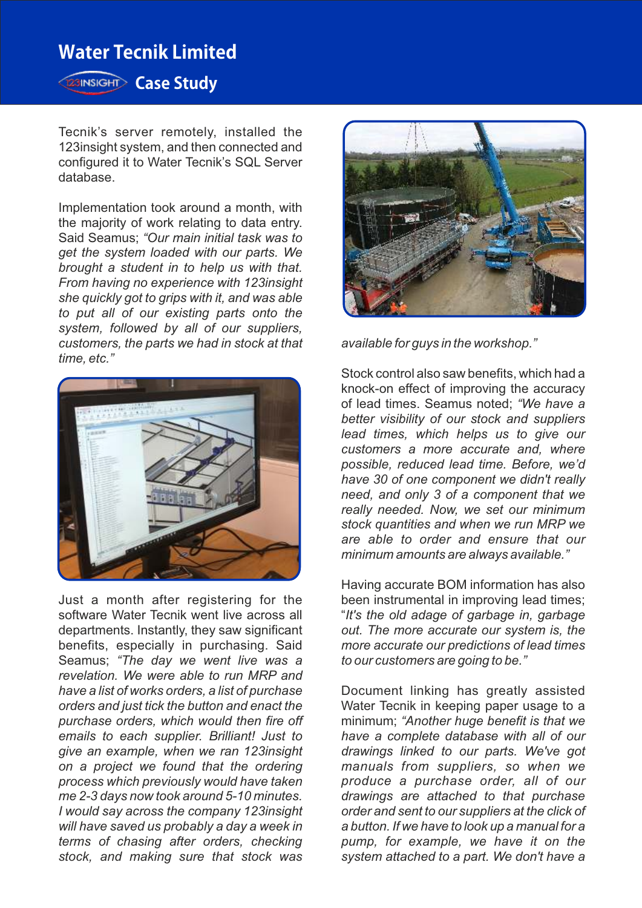### **Water Tecnik Limited**

**Case Study** 

Tecnik's server remotely, installed the 123insight system, and then connected and configured it to Water Tecnik's SQL Server database.

Implementation took around a month, with the majority of work relating to data entry. Said Seamus; *"Our main initial task was to get the system loaded with our parts. We brought a student in to help us with that. From having no experience with 123insight she quickly got to grips with it, and was able to put all of our existing parts onto the system, followed by all of our suppliers, customers, the parts we had in stock at that time, etc."*



Just a month after registering for the software Water Tecnik went live across all departments. Instantly, they saw significant benefits, especially in purchasing. Said Seamus; *"The day we went live was a revelation. We were able to run MRP and have a list of works orders, a list of purchase orders and just tick the button and enact the purchase orders, which would then fire off emails to each supplier. Brilliant! Just to give an example, when we ran 123insight on a project we found that the ordering process which previously would have taken me 2-3 days now took around 5-10 minutes. I would say across the company 123insight will have saved us probably a day a week in terms of chasing after orders, checking stock, and making sure that stock was* 



*available for guys in the workshop."*

Stock control also saw benefits, which had a knock-on effect of improving the accuracy of lead times. Seamus noted; *"We have a better visibility of our stock and suppliers lead times, which helps us to give our customers a more accurate and, where possible, reduced lead time. Before, we'd have 30 of one component we didn't really need, and only 3 of a component that we really needed. Now, we set our minimum stock quantities and when we run MRP we are able to order and ensure that our minimum amounts are always available."*

Having accurate BOM information has also been instrumental in improving lead times; "*It's the old adage of garbage in, garbage out. The more accurate our system is, the more accurate our predictions of lead times to our customers are going to be."*

Document linking has greatly assisted Water Tecnik in keeping paper usage to a minimum; *"Another huge benefit is that we have a complete database with all of our drawings linked to our parts. We've got manuals from suppliers, so when we produce a purchase order, all of our drawings are attached to that purchase order and sent to our suppliers at the click of a button. If we have to look up a manual for a pump, for example, we have it on the system attached to a part. We don't have a*